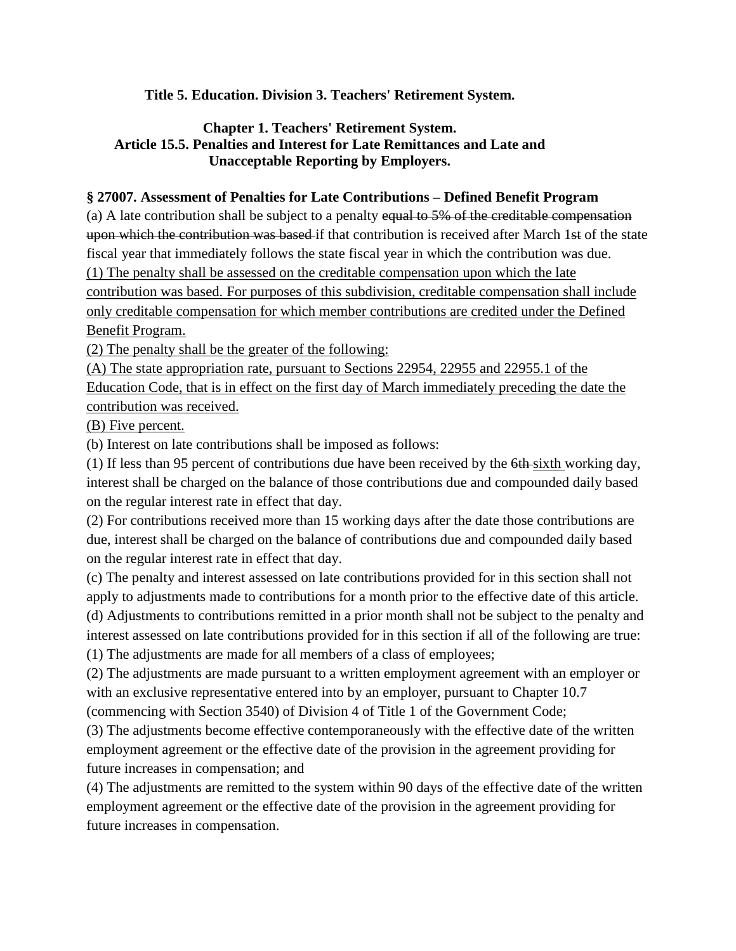## **Title 5. Education. Division 3. Teachers' Retirement System.**

## **Chapter 1. Teachers' Retirement System. Article 15.5. Penalties and Interest for Late Remittances and Late and Unacceptable Reporting by Employers.**

## **§ 27007. Assessment of Penalties for Late Contributions – Defined Benefit Program**

(a) A late contribution shall be subject to a penalty equal to 5% of the creditable compensation upon which the contribution was based if that contribution is received after March 1st of the state fiscal year that immediately follows the state fiscal year in which the contribution was due. (1) The penalty shall be assessed on the creditable compensation upon which the late contribution was based. For purposes of this subdivision, creditable compensation shall include only creditable compensation for which member contributions are credited under the Defined Benefit Program.

(2) The penalty shall be the greater of the following:

(A) The state appropriation rate, pursuant to Sections 22954, 22955 and 22955.1 of the Education Code, that is in effect on the first day of March immediately preceding the date the contribution was received.

(B) Five percent.

(b) Interest on late contributions shall be imposed as follows:

(1) If less than 95 percent of contributions due have been received by the 6th sixth working day, interest shall be charged on the balance of those contributions due and compounded daily based on the regular interest rate in effect that day.

(2) For contributions received more than 15 working days after the date those contributions are due, interest shall be charged on the balance of contributions due and compounded daily based on the regular interest rate in effect that day.

(c) The penalty and interest assessed on late contributions provided for in this section shall not apply to adjustments made to contributions for a month prior to the effective date of this article. (d) Adjustments to contributions remitted in a prior month shall not be subject to the penalty and interest assessed on late contributions provided for in this section if all of the following are true:

(1) The adjustments are made for all members of a class of employees;

(2) The adjustments are made pursuant to a written employment agreement with an employer or with an exclusive representative entered into by an employer, pursuant to Chapter 10.7 (commencing with Section 3540) of Division 4 of Title 1 of the Government Code;

(3) The adjustments become effective contemporaneously with the effective date of the written employment agreement or the effective date of the provision in the agreement providing for

future increases in compensation; and

(4) The adjustments are remitted to the system within 90 days of the effective date of the written employment agreement or the effective date of the provision in the agreement providing for future increases in compensation.